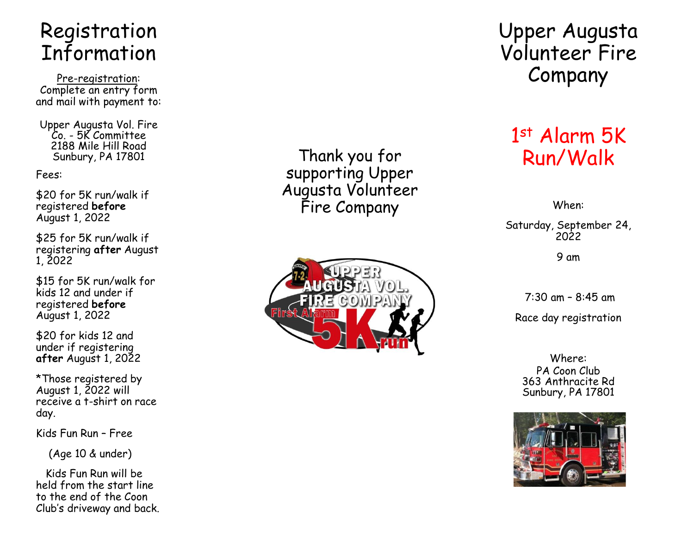# Registration Information

Pre -registration: Complete an entry form and mail with payment to:

Upper Augusta Vol. Fire Co. - 5K Committee 2188 Mile Hill Road Sunbury, PA 17801

Fees:

\$20 for 5K run/walk if registered **before** August 1, 2022

\$25 for 5K run/walk if registering **after** August 1, 2022

\$15 for 5K run/walk for kids 12 and under if registered **before** August 1, 2022

\$20 for kids 12 and under if registering **after** August 1, 2022

\*Those registered by August 1, 2022 will receive a t -shirt on race day.

Kids Fun Run – Free

(Age 10 & under)

Kids Fun Run will be held from the start line to the end of the Coon Club's driveway and back.

Thank you for supporting Upper Augusta Volunteer Fire Company



Upper Augusta Volunteer Fire Company

# 1 st Alarm 5K Run/Walk

When:

Saturday, September 24, 2022

9 am

7:30 am – 8:45 am Race day registration

Where: PA Coon Club 363 Anthracite Rd Sunbury, PA 17801